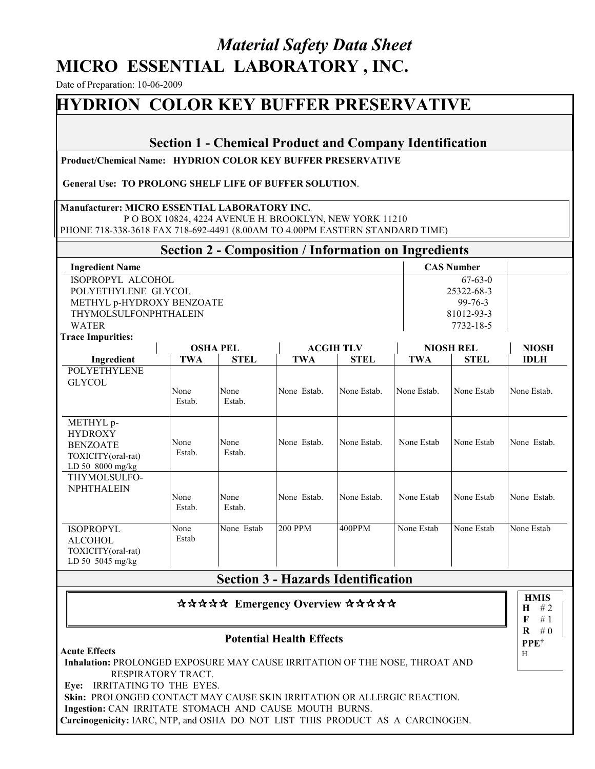# *Material Safety Data Sheet*  **MICRO ESSENTIAL LABORATORY , INC.**

Date of Preparation: 10-06-2009

# **HYDRION COLOR KEY BUFFER PRESERVATIVE**

#### **Section 1 - Chemical Product and Company Identification**

 **Product/Chemical Name: HYDRION COLOR KEY BUFFER PRESERVATIVE**

**General Use: TO PROLONG SHELF LIFE OF BUFFER SOLUTION**.

#### **Manufacturer: MICRO ESSENTIAL LABORATORY INC.**

 P O BOX 10824, 4224 AVENUE H. BROOKLYN, NEW YORK 11210 PHONE 718-338-3618 FAX 718-692-4491 (8.00AM TO 4.00PM EASTERN STANDARD TIME)

# **Section 2 - Composition / Information on Ingredients**

| <b>Ingredient Name</b>       | <b>CAS Number</b> |
|------------------------------|-------------------|
| ISOPROPYL ALCOHOL            | 67-63-0           |
| POLYETHYLENE GLYCOL          | 25322-68-3        |
| METHYL p-HYDROXY BENZOATE    | 99-76-3           |
| <b>THYMOLSULFONPHTHALEIN</b> | 81012-93-3        |
| WATER                        | 7732-18-5         |

**Trace Impurities:**

**Acute Effects**

| птасс пшригниз.                                                                            | <b>OSHA PEL</b> |                | <b>ACGIH TLV</b> |             | <b>NIOSH REL</b> |             | <b>NIOSH</b> |
|--------------------------------------------------------------------------------------------|-----------------|----------------|------------------|-------------|------------------|-------------|--------------|
| Ingredient                                                                                 | <b>TWA</b>      | <b>STEL</b>    | <b>TWA</b>       | <b>STEL</b> | <b>TWA</b>       | <b>STEL</b> | <b>IDLH</b>  |
| <b>POLYETHYLENE</b><br><b>GLYCOL</b>                                                       | None            | None           | None Estab.      | None Estab. | None Estab.      | None Estab  | None Estab.  |
|                                                                                            | Estab.          | Estab.         |                  |             |                  |             |              |
| METHYL p-<br><b>HYDROXY</b><br><b>BENZOATE</b><br>TOXICITY(oral-rat)<br>LD 50 $8000$ mg/kg | None<br>Estab.  | None<br>Estab. | None Estab.      | None Estab. | None Estab       | None Estab  | None Estab.  |
| THYMOLSULFO-<br><b>NPHTHALEIN</b>                                                          | None<br>Estab.  | None<br>Estab. | None Estab.      | None Estab. | None Estab       | None Estab  | None Estab.  |
| <b>ISOPROPYL</b><br><b>ALCOHOL</b><br>TOXICITY(oral-rat)<br>LD 50 5045 mg/kg               | None<br>Estab   | None Estab     | <b>200 PPM</b>   | 400PPM      | None Estab       | None Estab  | None Estab   |

## **Section 3 - Hazards Identification**

#### \*\*\*\*\* Emergency Overview \*\*\*\*\*

#### **Potential Health Effects**

**Inhalation:** PROLONGED EXPOSURE MAY CAUSE IRRITATION OF THE NOSE, THROAT AND RESPIRATORY TRACT. **Eye:** IRRITATING TO THE EYES.

**Skin:** PROLONGED CONTACT MAY CAUSE SKIN IRRITATION OR ALLERGIC REACTION. **Ingestion:** CAN IRRITATE STOMACH AND CAUSE MOUTH BURNS.

**Carcinogenicity:** IARC, NTP, and OSHA DO NOT LIST THIS PRODUCT AS A CARCINOGEN.

**HMIS**  $H$  # 2 **F R**  $\#0$ # 1 **PPE**†  $\,$  H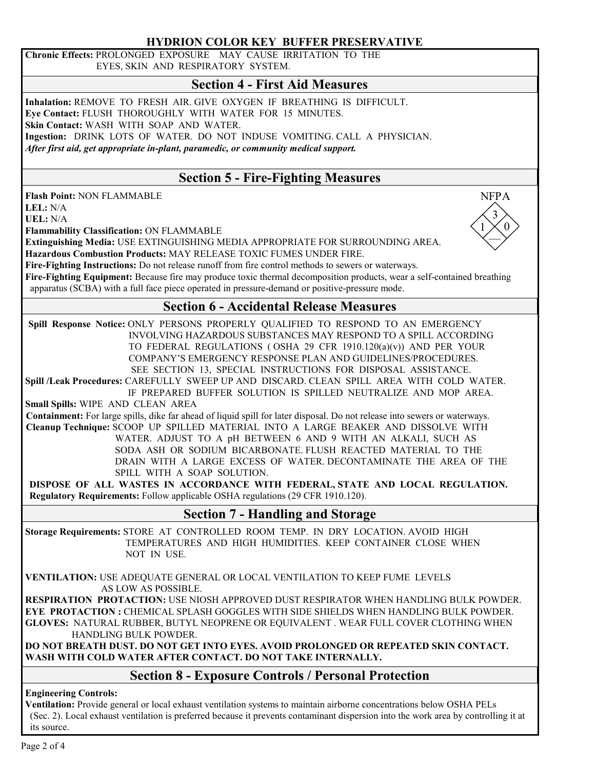#### **HYDRION COLOR KEY BUFFER PRESERVATIVE**

**Chronic Effects:** PROLONGED EXPOSURE MAY CAUSE IRRITATION TO THE EYES, SKIN AND RESPIRATORY SYSTEM.

## **Section 4 - First Aid Measures**

**Inhalation:** REMOVE TO FRESH AIR. GIVE OXYGEN IF BREATHING IS DIFFICULT. **Eye Contact:** FLUSH THOROUGHLY WITH WATER FOR 15 MINUTES. **Skin Contact:** WASH WITH SOAP AND WATER. **Ingestion:** DRINK LOTS OF WATER. DO NOT INDUSE VOMITING. CALL A PHYSICIAN. *After first aid, get appropriate in-plant, paramedic, or community medical support.*

## **Section 5 - Fire-Fighting Measures**

**Flash Point:** NON FLAMMABLE

**LEL:** N/A

**UEL:** N/A

**Flammability Classification:** ON FLAMMABLE

**Extinguishing Media:** USE EXTINGUISHING MEDIA APPROPRIATE FOR SURROUNDING AREA.

**Hazardous Combustion Products:** MAY RELEASE TOXIC FUMES UNDER FIRE.

**Fire-Fighting Instructions:** Do not release runoff from fire control methods to sewers or waterways.

**Fire-Fighting Equipment:** Because fire may produce toxic thermal decomposition products, wear a self-contained breathing apparatus (SCBA) with a full face piece operated in pressure-demand or positive-pressure mode.

## **Section 6 - Accidental Release Measures**

 **Spill Response Notice:** ONLY PERSONS PROPERLY QUALIFIED TO RESPOND TO AN EMERGENCY INVOLVING HAZARDOUS SUBSTANCES MAY RESPOND TO A SPILL ACCORDING TO FEDERAL REGULATIONS ( OSHA 29 CFR 1910.120(a)(v)) AND PER YOUR COMPANY'S EMERGENCY RESPONSE PLAN AND GUIDELINES/PROCEDURES. SEE SECTION 13, SPECIAL INSTRUCTIONS FOR DISPOSAL ASSISTANCE.

**Spill /Leak Procedures:** CAREFULLY SWEEP UP AND DISCARD. CLEAN SPILL AREA WITH COLD WATER.

 IF PREPARED BUFFER SOLUTION IS SPILLED NEUTRALIZE AND MOP AREA. **Small Spills:** WIPE AND CLEAN AREA

 **Containment:** For large spills, dike far ahead of liquid spill for later disposal. Do not release into sewers or waterways.  **Cleanup Technique:** SCOOP UP SPILLED MATERIAL INTO A LARGE BEAKER AND DISSOLVE WITH WATER. ADJUST TO A pH BETWEEN 6 AND 9 WITH AN ALKALI, SUCH AS SODA ASH OR SODIUM BICARBONATE. FLUSH REACTED MATERIAL TO THE DRAIN WITH A LARGE EXCESS OF WATER. DECONTAMINATE THE AREA OF THE SPILL WITH A SOAP SOLUTION.

**DISPOSE OF ALL WASTES IN ACCORDANCE WITH FEDERAL, STATE AND LOCAL REGULATION. Regulatory Requirements:** Follow applicable OSHA regulations (29 CFR 1910.120).

## **Section 7 - Handling and Storage**

**Storage Requirements:** STORE AT CONTROLLED ROOM TEMP. IN DRY LOCATION. AVOID HIGH TEMPERATURES AND HIGH HUMIDITIES. KEEP CONTAINER CLOSE WHEN NOT IN USE.

**VENTILATION:** USE ADEQUATE GENERAL OR LOCAL VENTILATION TO KEEP FUME LEVELS AS LOW AS POSSIBLE.

**RESPIRATION PROTACTION:** USE NIOSH APPROVED DUST RESPIRATOR WHEN HANDLING BULK POWDER. **EYE PROTACTION :** CHEMICAL SPLASH GOGGLES WITH SIDE SHIELDS WHEN HANDLING BULK POWDER. **GLOVES:** NATURAL RUBBER, BUTYL NEOPRENE OR EQUIVALENT . WEAR FULL COVER CLOTHING WHEN HANDLING BULK POWDER.

**DO NOT BREATH DUST. DO NOT GET INTO EYES. AVOID PROLONGED OR REPEATED SKIN CONTACT. WASH WITH COLD WATER AFTER CONTACT. DO NOT TAKE INTERNALLY.**

## **Section 8 - Exposure Controls / Personal Protection**

#### **Engineering Controls:**

**Ventilation:** Provide general or local exhaust ventilation systems to maintain airborne concentrations below OSHA PELs (Sec. 2). Local exhaust ventilation is preferred because it prevents contaminant dispersion into the work area by controlling it at its source.

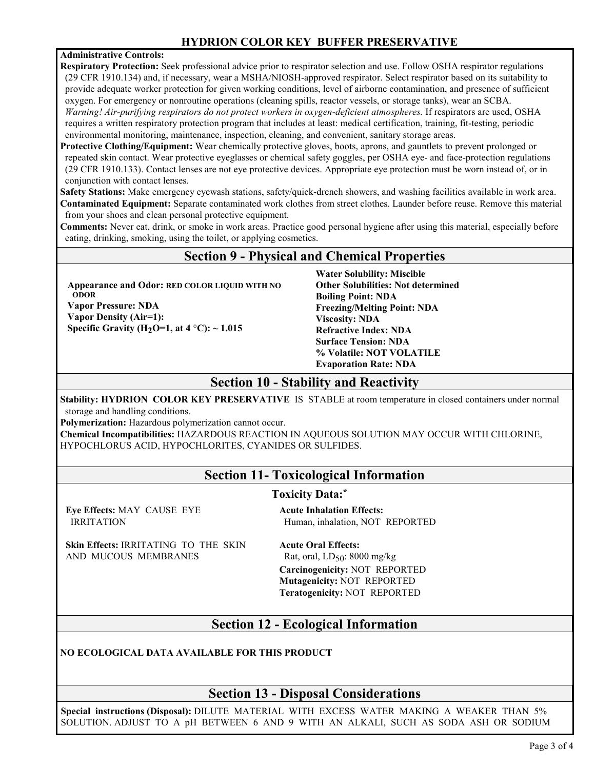### **HYDRION COLOR KEY BUFFER PRESERVATIVE**

#### **Administrative Controls:**

**Respiratory Protection:** Seek professional advice prior to respirator selection and use. Follow OSHA respirator regulations (29 CFR 1910.134) and, if necessary, wear a MSHA/NIOSH-approved respirator. Select respirator based on its suitability to provide adequate worker protection for given working conditions, level of airborne contamination, and presence of sufficient oxygen. For emergency or nonroutine operations (cleaning spills, reactor vessels, or storage tanks), wear an SCBA. *Warning! Air-purifying respirators do not protect workers in oxygen-deficient atmospheres.* If respirators are used, OSHA requires a written respiratory protection program that includes at least: medical certification, training, fit-testing, periodic environmental monitoring, maintenance, inspection, cleaning, and convenient, sanitary storage areas.

**Protective Clothing/Equipment:** Wear chemically protective gloves, boots, aprons, and gauntlets to prevent prolonged or repeated skin contact. Wear protective eyeglasses or chemical safety goggles, per OSHA eye- and face-protection regulations (29 CFR 1910.133). Contact lenses are not eye protective devices. Appropriate eye protection must be worn instead of, or in conjunction with contact lenses.

**Safety Stations:** Make emergency eyewash stations, safety/quick-drench showers, and washing facilities available in work area. **Contaminated Equipment:** Separate contaminated work clothes from street clothes. Launder before reuse. Remove this material from your shoes and clean personal protective equipment.

**Comments:** Never eat, drink, or smoke in work areas. Practice good personal hygiene after using this material, especially before eating, drinking, smoking, using the toilet, or applying cosmetics.

### **Section 9 - Physical and Chemical Properties**

**Appearance and Odor: RED COLOR LIQUID WITH NO ODOR Vapor Pressure: NDA**

**Vapor Density (Air=1): Specific Gravity (H2O=1, at 4** °**C): ~ 1.015**  **Water Solubility: Miscible Other Solubilities: Not determined Boiling Point: NDA Freezing/Melting Point: NDA Viscosity: NDA Refractive Index: NDA Surface Tension: NDA % Volatile: NOT VOLATILE Evaporation Rate: NDA** 

#### **Section 10 - Stability and Reactivity**

**Stability: HYDRION COLOR KEY PRESERVATIVE** IS STABLE at room temperature in closed containers under normal storage and handling conditions.

**Polymerization:** Hazardous polymerization cannot occur.

**Chemical Incompatibilities:** HAZARDOUS REACTION IN AQUEOUS SOLUTION MAY OCCUR WITH CHLORINE, HYPOCHLORUS ACID, HYPOCHLORITES, CYANIDES OR SULFIDES.

## **Section 11- Toxicological Information**

#### **Toxicity Data:\***

**Eye Effects:** MAY CAUSE EYE IRRITATION

**Skin Effects:** IRRITATING TO THE SKIN AND MUCOUS MEMBRANES

**Acute Inhalation Effects:** Human, inhalation, NOT REPORTED

**Acute Oral Effects:** Rat, oral,  $LD_{50}$ : 8000 mg/kg **Carcinogenicity:** NOT REPORTED **Mutagenicity:** NOT REPORTED **Teratogenicity:** NOT REPORTED

## **Section 12 - Ecological Information**

**NO ECOLOGICAL DATA AVAILABLE FOR THIS PRODUCT** 

## **Section 13 - Disposal Considerations**

 **Special instructions (Disposal):** DILUTE MATERIAL WITH EXCESS WATER MAKING A WEAKER THAN 5% SOLUTION. ADJUST TO A pH BETWEEN 6 AND 9 WITH AN ALKALI, SUCH AS SODA ASH OR SODIUM